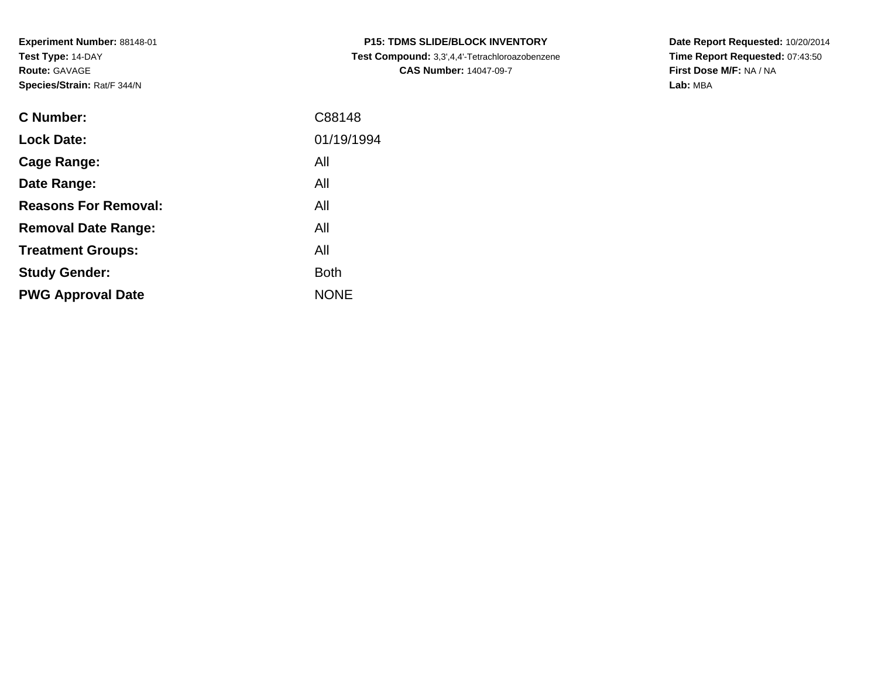**Experiment Number:** 88148-01**Test Type:** 14-DAY**Route:** GAVAGE**Species/Strain:** Rat/F 344/N

| <b>C Number:</b>            | C88148      |
|-----------------------------|-------------|
| <b>Lock Date:</b>           | 01/19/1994  |
| <b>Cage Range:</b>          | All         |
| Date Range:                 | All         |
| <b>Reasons For Removal:</b> | All         |
| <b>Removal Date Range:</b>  | All         |
| <b>Treatment Groups:</b>    | All         |
| <b>Study Gender:</b>        | <b>Both</b> |
| <b>PWG Approval Date</b>    | <b>NONE</b> |
|                             |             |

**P15: TDMS SLIDE/BLOCK INVENTORY Test Compound:** 3,3',4,4'-Tetrachloroazobenzene**CAS Number:** 14047-09-7

**Date Report Requested:** 10/20/2014 **Time Report Requested:** 07:43:50**First Dose M/F:** NA / NA**Lab:** MBA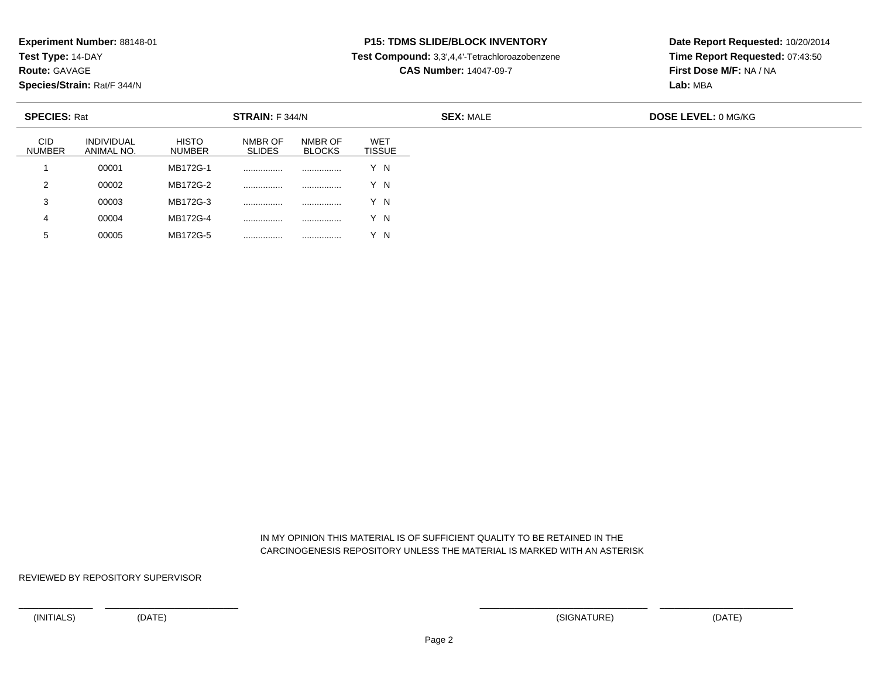**Test Type:** 14-DAY

**Route:** GAVAGE

**Species/Strain:** Rat/F 344/N

<sup>00005</sup> MB172G-5 ................ ................ Y N

# **P15: TDMS SLIDE/BLOCK INVENTORY**

**Test Compound:** 3,3',4,4'-Tetrachloroazobenzene

**CAS Number:** 14047-09-7

**Date Report Requested:** 10/20/2014**Time Report Requested:** 07:43:50**First Dose M/F:** NA / NA**Lab:** MBA

| <b>SPECIES: Rat</b><br><b>STRAIN:</b> F 344/N |                                 |                               |                          | <b>SEX: MALE</b>         | <b>DOSE LEVEL: 0 MG/KG</b>  |  |  |
|-----------------------------------------------|---------------------------------|-------------------------------|--------------------------|--------------------------|-----------------------------|--|--|
| <b>CID</b><br><b>NUMBER</b>                   | <b>INDIVIDUAL</b><br>ANIMAL NO. | <b>HISTO</b><br><b>NUMBER</b> | NMBR OF<br><b>SLIDES</b> | NMBR OF<br><b>BLOCKS</b> | <b>WET</b><br><b>TISSUE</b> |  |  |
|                                               | 00001                           | MB172G-1                      |                          |                          | Y N                         |  |  |
| 2                                             | 00002                           | MB172G-2                      |                          |                          | Y N                         |  |  |
| -3                                            | 00003                           | MB172G-3                      | .                        |                          | Y N                         |  |  |
| 4                                             | 00004                           | MB172G-4                      |                          |                          | Y N                         |  |  |
| 5                                             | 00005                           | MB172G-5                      | .                        |                          | - N                         |  |  |

 IN MY OPINION THIS MATERIAL IS OF SUFFICIENT QUALITY TO BE RETAINED IN THECARCINOGENESIS REPOSITORY UNLESS THE MATERIAL IS MARKED WITH AN ASTERISK

REVIEWED BY REPOSITORY SUPERVISOR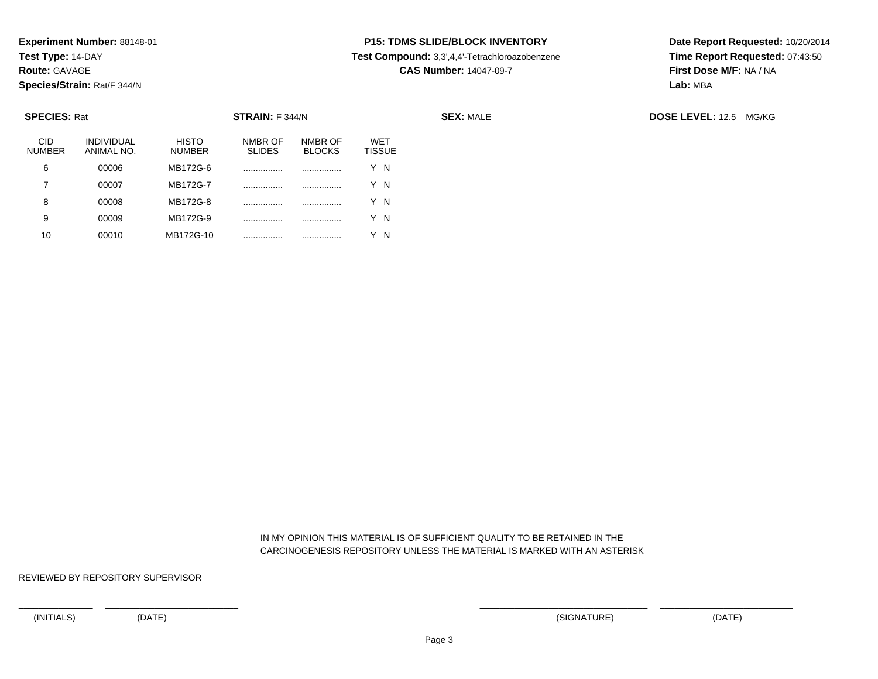**Test Type:** 14-DAY

**Route:** GAVAGE

10

**Species/Strain:** Rat/F 344/N

# **P15: TDMS SLIDE/BLOCK INVENTORY**

**Test Compound:** 3,3',4,4'-Tetrachloroazobenzene

**CAS Number:** 14047-09-7

**Date Report Requested:** 10/20/2014**Time Report Requested:** 07:43:50**First Dose M/F:** NA / NA**Lab:** MBA

| <b>SPECIES: Rat</b>         |                                 |                               | STRAIN: F 344/N          |                          |                      | <b>SEX: MALE</b> | <b>DOSE LEVEL: 12.5</b><br>MG/KG |
|-----------------------------|---------------------------------|-------------------------------|--------------------------|--------------------------|----------------------|------------------|----------------------------------|
| <b>CID</b><br><b>NUMBER</b> | <b>INDIVIDUAL</b><br>ANIMAL NO. | <b>HISTO</b><br><b>NUMBER</b> | NMBR OF<br><b>SLIDES</b> | NMBR OF<br><b>BLOCKS</b> | WET<br><b>TISSUE</b> |                  |                                  |
| 6                           | 00006                           | MB172G-6                      |                          |                          | Y N                  |                  |                                  |
|                             | 00007                           | MB172G-7                      | .                        |                          | Y N                  |                  |                                  |
| 8                           | 00008                           | MB172G-8                      |                          |                          | Y N                  |                  |                                  |
| 9                           | 00009                           | MB172G-9                      | .                        |                          | Y N                  |                  |                                  |

 IN MY OPINION THIS MATERIAL IS OF SUFFICIENT QUALITY TO BE RETAINED IN THECARCINOGENESIS REPOSITORY UNLESS THE MATERIAL IS MARKED WITH AN ASTERISK

REVIEWED BY REPOSITORY SUPERVISOR

<sup>00010</sup> MB172G-10 ................ ................ Y N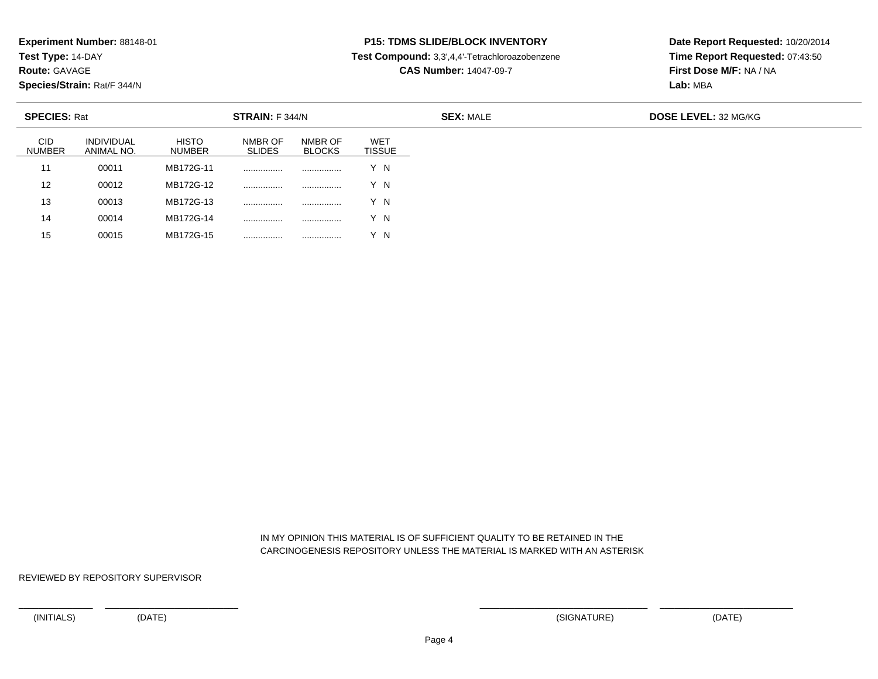**Test Type:** 14-DAY

**Route:** GAVAGE

15

**Species/Strain:** Rat/F 344/N

<sup>00015</sup> MB172G-15 ................ ................ Y N

# **P15: TDMS SLIDE/BLOCK INVENTORY**

**Test Compound:** 3,3',4,4'-Tetrachloroazobenzene

**CAS Number:** 14047-09-7

**Date Report Requested:** 10/20/2014**Time Report Requested:** 07:43:50**First Dose M/F:** NA / NA**Lab:** MBA

| <b>SPECIES: Rat</b>         |                                 |                        | <b>STRAIN:</b> F 344/N   |                          |                             |
|-----------------------------|---------------------------------|------------------------|--------------------------|--------------------------|-----------------------------|
| <b>CID</b><br><b>NUMBER</b> | <b>INDIVIDUAL</b><br>ANIMAL NO. | <b>HISTO</b><br>NUMBER | NMBR OF<br><b>SLIDES</b> | NMBR OF<br><b>BLOCKS</b> | <b>WET</b><br><b>TISSUE</b> |
| 11                          | 00011                           | MB172G-11              | .                        |                          | Y N                         |
| 12                          | 00012                           | MB172G-12              |                          |                          | Y N                         |
| 13                          | 00013                           | MB172G-13              | .                        |                          | Y N                         |
| 14                          | 00014                           | MB172G-14              | .                        | .                        | ΄N                          |

 IN MY OPINION THIS MATERIAL IS OF SUFFICIENT QUALITY TO BE RETAINED IN THECARCINOGENESIS REPOSITORY UNLESS THE MATERIAL IS MARKED WITH AN ASTERISK

REVIEWED BY REPOSITORY SUPERVISOR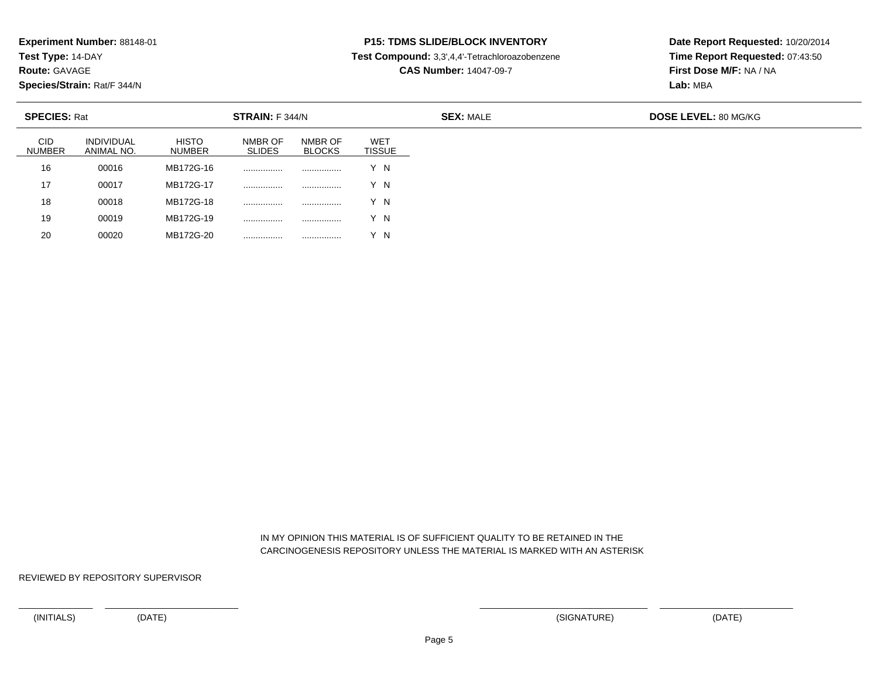**Test Type:** 14-DAY

**Route:** GAVAGE

20

**Species/Strain:** Rat/F 344/N

# **P15: TDMS SLIDE/BLOCK INVENTORY**

**Test Compound:** 3,3',4,4'-Tetrachloroazobenzene

**CAS Number:** 14047-09-7

**Date Report Requested:** 10/20/2014**Time Report Requested:** 07:43:50**First Dose M/F:** NA / NA**Lab:** MBA

| <b>SPECIES: Rat</b>         |                                 |                        | STRAIN: F 344/N          |                          |                             |
|-----------------------------|---------------------------------|------------------------|--------------------------|--------------------------|-----------------------------|
| <b>CID</b><br><b>NUMBER</b> | <b>INDIVIDUAL</b><br>ANIMAL NO. | <b>HISTO</b><br>NUMBER | NMBR OF<br><b>SLIDES</b> | NMBR OF<br><b>BLOCKS</b> | <b>WET</b><br><b>TISSUE</b> |
| 16                          | 00016                           | MB172G-16              | .                        | .                        | Y N                         |
| 17                          | 00017                           | MB172G-17              |                          |                          | Y N                         |
| 18                          | 00018                           | MB172G-18              | .                        | .                        | Y N                         |
| 19                          | 00019                           | MB172G-19              | .                        | .                        | $^{\prime}$ N               |

 IN MY OPINION THIS MATERIAL IS OF SUFFICIENT QUALITY TO BE RETAINED IN THECARCINOGENESIS REPOSITORY UNLESS THE MATERIAL IS MARKED WITH AN ASTERISK

REVIEWED BY REPOSITORY SUPERVISOR

<sup>00020</sup> MB172G-20 ................ ................ Y N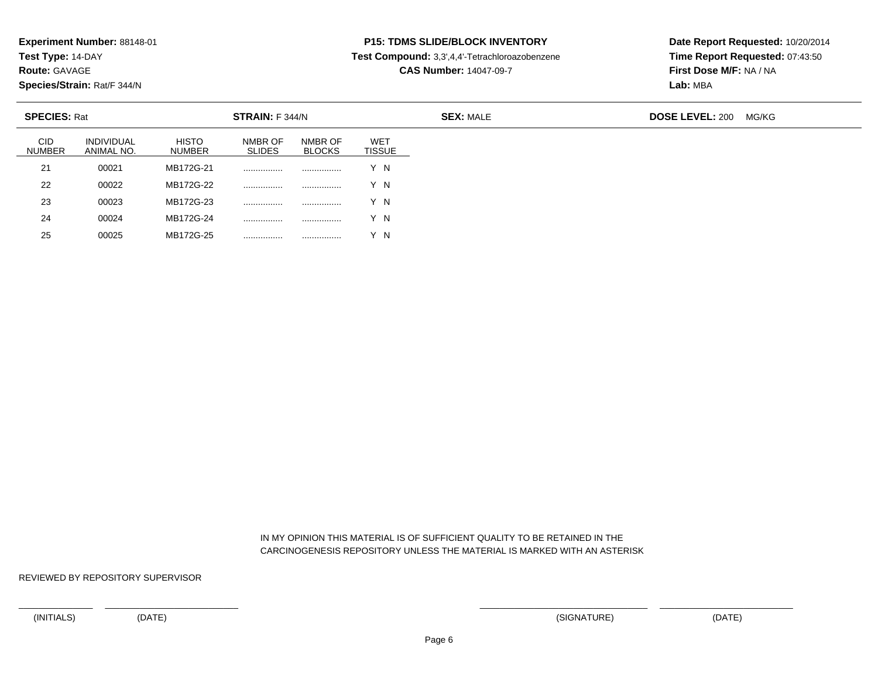**Test Type:** 14-DAY

**Route:** GAVAGE

25

**Species/Strain:** Rat/F 344/N

<sup>00025</sup> MB172G-25 ................ ................ Y N

# **P15: TDMS SLIDE/BLOCK INVENTORY**

**Test Compound:** 3,3',4,4'-Tetrachloroazobenzene

**CAS Number:** 14047-09-7

**Date Report Requested:** 10/20/2014**Time Report Requested:** 07:43:50**First Dose M/F:** NA / NA**Lab:** MBA

| <b>SPECIES: Rat</b>         |                                 |                               | STRAIN: F 344/N          |                          |                             | <b>SEX: MALE</b> | <b>DOSE LEVEL: 200</b> | MG/KG |
|-----------------------------|---------------------------------|-------------------------------|--------------------------|--------------------------|-----------------------------|------------------|------------------------|-------|
| <b>CID</b><br><b>NUMBER</b> | <b>INDIVIDUAL</b><br>ANIMAL NO. | <b>HISTO</b><br><b>NUMBER</b> | NMBR OF<br><b>SLIDES</b> | NMBR OF<br><b>BLOCKS</b> | <b>WET</b><br><b>TISSUE</b> |                  |                        |       |
| 21                          | 00021                           | MB172G-21                     |                          | .                        | Y N                         |                  |                        |       |
| 22                          | 00022                           | MB172G-22                     |                          | .                        | Y N                         |                  |                        |       |
| 23                          | 00023                           | MB172G-23                     |                          | .                        | Y N                         |                  |                        |       |
| 24                          | 00024                           | MB172G-24                     |                          | .                        | Y N                         |                  |                        |       |

 IN MY OPINION THIS MATERIAL IS OF SUFFICIENT QUALITY TO BE RETAINED IN THECARCINOGENESIS REPOSITORY UNLESS THE MATERIAL IS MARKED WITH AN ASTERISK

REVIEWED BY REPOSITORY SUPERVISOR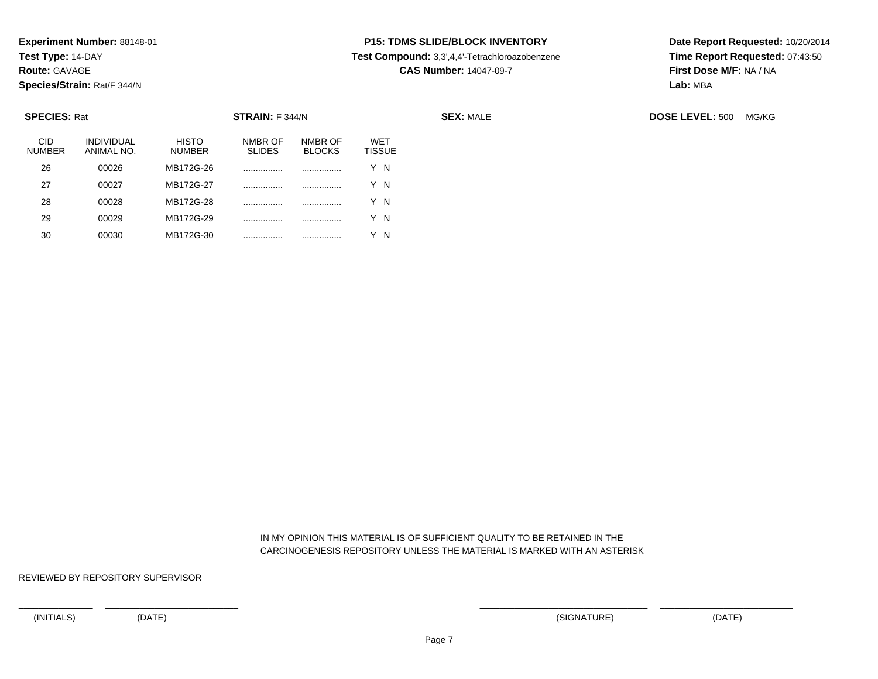**Test Type:** 14-DAY

**Route:** GAVAGE

30

**Species/Strain:** Rat/F 344/N

<sup>00030</sup> MB172G-30 ................ ................ Y N

# **P15: TDMS SLIDE/BLOCK INVENTORY**

**Test Compound:** 3,3',4,4'-Tetrachloroazobenzene

**CAS Number:** 14047-09-7

**Date Report Requested:** 10/20/2014**Time Report Requested:** 07:43:50**First Dose M/F:** NA / NA**Lab:** MBA

| <b>SPECIES: Rat</b>         |                                 |                               | STRAIN: F 344/N          |                          |                             | <b>SEX: MALE</b> | <b>DOSE LEVEL: 500</b><br>MG/KG |
|-----------------------------|---------------------------------|-------------------------------|--------------------------|--------------------------|-----------------------------|------------------|---------------------------------|
| <b>CID</b><br><b>NUMBER</b> | <b>INDIVIDUAL</b><br>ANIMAL NO. | <b>HISTO</b><br><b>NUMBER</b> | NMBR OF<br><b>SLIDES</b> | NMBR OF<br><b>BLOCKS</b> | <b>WET</b><br><b>TISSUE</b> |                  |                                 |
| 26                          | 00026                           | MB172G-26                     | .                        | .                        | Y N                         |                  |                                 |
| 27                          | 00027                           | MB172G-27                     | .                        | .                        | Y N                         |                  |                                 |
| 28                          | 00028                           | MB172G-28                     |                          |                          | Y N                         |                  |                                 |
| 29                          | 00029                           | MB172G-29                     |                          |                          | Y N                         |                  |                                 |

 IN MY OPINION THIS MATERIAL IS OF SUFFICIENT QUALITY TO BE RETAINED IN THECARCINOGENESIS REPOSITORY UNLESS THE MATERIAL IS MARKED WITH AN ASTERISK

REVIEWED BY REPOSITORY SUPERVISOR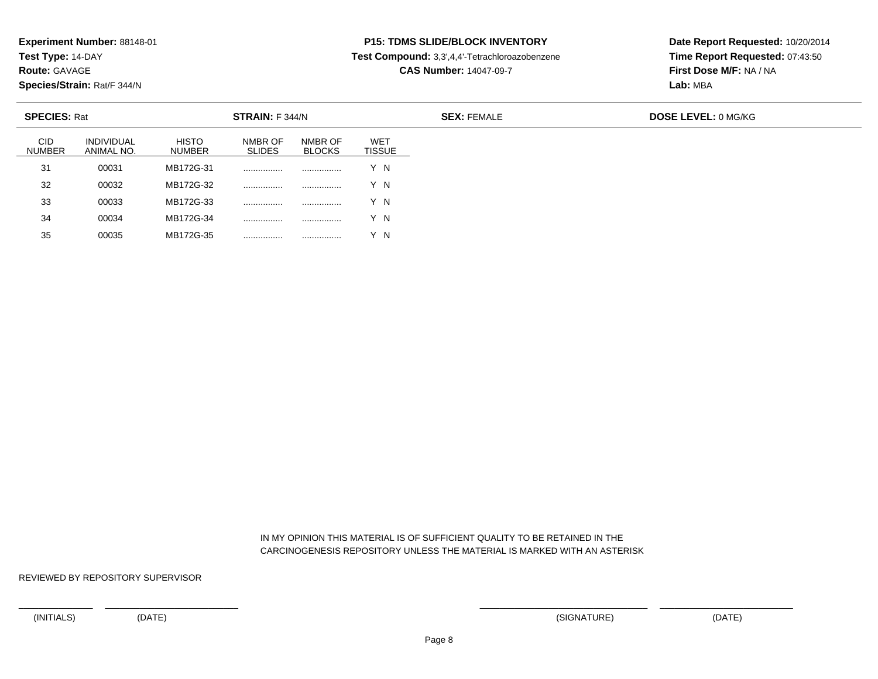**Test Type:** 14-DAY

**Route:** GAVAGE

**Species/Strain:** Rat/F 344/N

# **P15: TDMS SLIDE/BLOCK INVENTORY**

**Test Compound:** 3,3',4,4'-Tetrachloroazobenzene

**CAS Number:** 14047-09-7

**Date Report Requested:** 10/20/2014**Time Report Requested:** 07:43:50**First Dose M/F:** NA / NA**Lab:** MBA

| <b>SPECIES: Rat</b><br>STRAIN: F 344/N |                                 |                        |                          |                          |                             | <b>SEX: FEMALE</b> | <b>DOSE LEVEL: 0 MG/KG</b> |
|----------------------------------------|---------------------------------|------------------------|--------------------------|--------------------------|-----------------------------|--------------------|----------------------------|
| <b>CID</b><br><b>NUMBER</b>            | <b>INDIVIDUAL</b><br>ANIMAL NO. | <b>HISTO</b><br>NUMBER | NMBR OF<br><b>SLIDES</b> | NMBR OF<br><b>BLOCKS</b> | <b>WET</b><br><b>TISSUE</b> |                    |                            |
| 31                                     | 00031                           | MB172G-31              |                          | .                        | Y N                         |                    |                            |
| 32                                     | 00032                           | MB172G-32              | .                        |                          | Y N                         |                    |                            |
| 33                                     | 00033                           | MB172G-33              |                          |                          | Y N                         |                    |                            |
| 34                                     | 00034                           | MB172G-34              | .                        |                          | Y N                         |                    |                            |
| 35                                     | 00035                           | MB172G-35              | .                        | .                        | - N                         |                    |                            |

 IN MY OPINION THIS MATERIAL IS OF SUFFICIENT QUALITY TO BE RETAINED IN THECARCINOGENESIS REPOSITORY UNLESS THE MATERIAL IS MARKED WITH AN ASTERISK

REVIEWED BY REPOSITORY SUPERVISOR

<sup>00035</sup> MB172G-35 ................ ................ Y N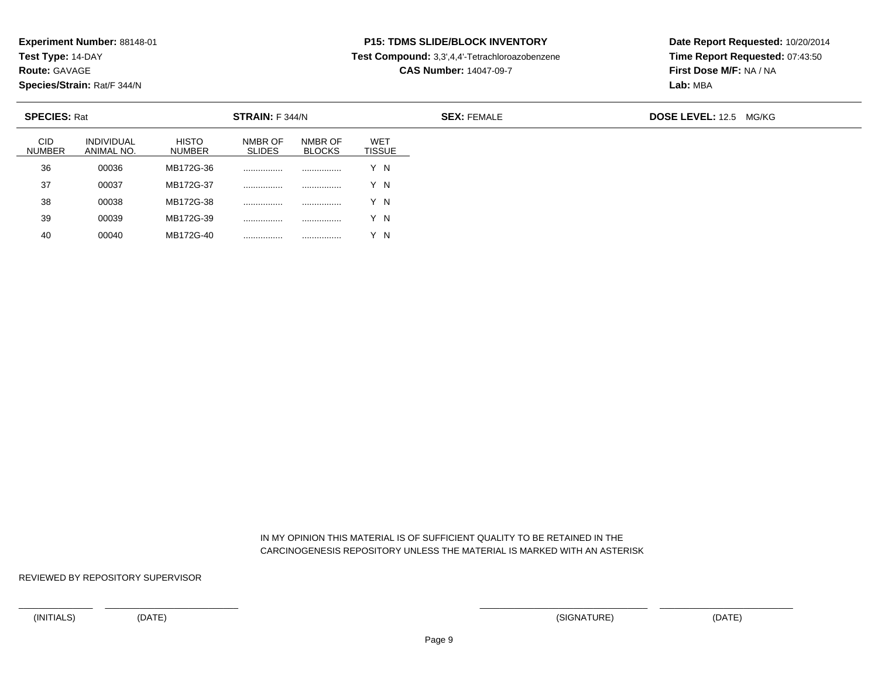**Test Type:** 14-DAY

**Route:** GAVAGE

40

**Species/Strain:** Rat/F 344/N

# **P15: TDMS SLIDE/BLOCK INVENTORY**

**Test Compound:** 3,3',4,4'-Tetrachloroazobenzene

**CAS Number:** 14047-09-7

**Date Report Requested:** 10/20/2014**Time Report Requested:** 07:43:50**First Dose M/F:** NA / NA**Lab:** MBA

|                             | <b>SPECIES: Rat</b><br>STRAIN: F 344/N |                        |                          |                          |                      | <b>SEX: FEMALE</b> | <b>DOSE LEVEL: 12.5 MG/KG</b> |
|-----------------------------|----------------------------------------|------------------------|--------------------------|--------------------------|----------------------|--------------------|-------------------------------|
| <b>CID</b><br><b>NUMBER</b> | INDIVIDUAL<br>ANIMAL NO.               | <b>HISTO</b><br>NUMBER | NMBR OF<br><b>SLIDES</b> | NMBR OF<br><b>BLOCKS</b> | WET<br><b>TISSUE</b> |                    |                               |
| 36                          | 00036                                  | MB172G-36              |                          | .                        | Y N                  |                    |                               |
| 37                          | 00037                                  | MB172G-37              |                          |                          | Y N                  |                    |                               |
| 38                          | 00038                                  | MB172G-38              |                          |                          | Y N                  |                    |                               |
| 39                          | 00039                                  | MB172G-39              |                          | .                        | Y N                  |                    |                               |

 IN MY OPINION THIS MATERIAL IS OF SUFFICIENT QUALITY TO BE RETAINED IN THECARCINOGENESIS REPOSITORY UNLESS THE MATERIAL IS MARKED WITH AN ASTERISK

REVIEWED BY REPOSITORY SUPERVISOR

<sup>00040</sup> MB172G-40 ................ ................ Y N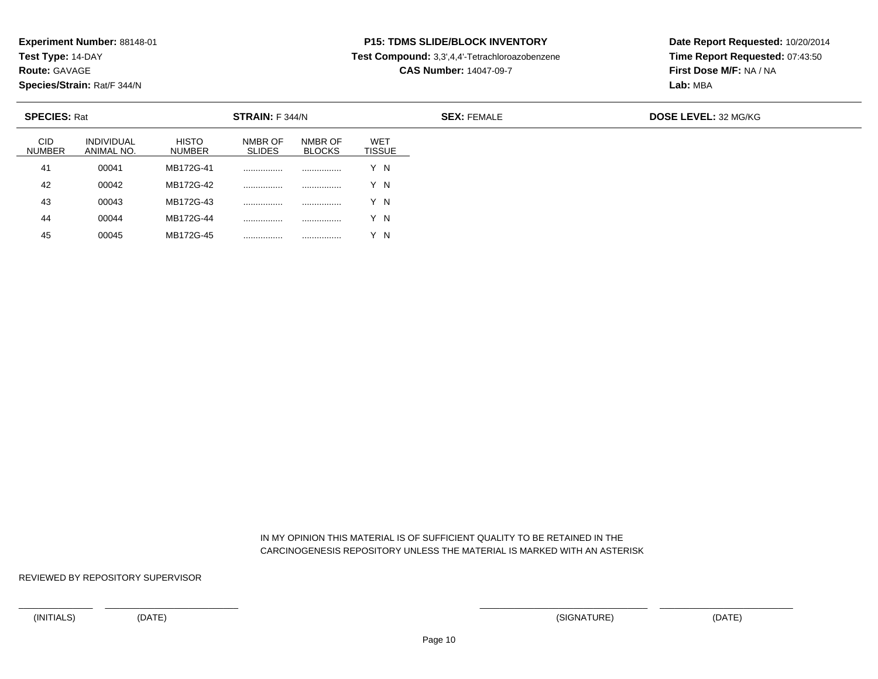**Test Type:** 14-DAY

**Route:** GAVAGE

**Species/Strain:** Rat/F 344/N

<sup>00045</sup> MB172G-45 ................ ................ Y N

# **P15: TDMS SLIDE/BLOCK INVENTORY**

**Test Compound:** 3,3',4,4'-Tetrachloroazobenzene

**CAS Number:** 14047-09-7

**Date Report Requested:** 10/20/2014**Time Report Requested:** 07:43:50**First Dose M/F:** NA / NA**Lab:** MBA

| <b>SPECIES: Rat</b><br><b>STRAIN:</b> F 344/N |                                 |                        |                          |                          |                             | <b>SEX: FEMALE</b> | <b>DOSE LEVEL: 32 MG/KG</b> |
|-----------------------------------------------|---------------------------------|------------------------|--------------------------|--------------------------|-----------------------------|--------------------|-----------------------------|
| <b>CID</b><br><b>NUMBER</b>                   | <b>INDIVIDUAL</b><br>ANIMAL NO. | <b>HISTO</b><br>NUMBER | NMBR OF<br><b>SLIDES</b> | NMBR OF<br><b>BLOCKS</b> | <b>WET</b><br><b>TISSUE</b> |                    |                             |
| 41                                            | 00041                           | MB172G-41              |                          | .                        | Y N                         |                    |                             |
| 42                                            | 00042                           | MB172G-42              |                          |                          | Y N                         |                    |                             |
| 43                                            | 00043                           | MB172G-43              |                          |                          | Y N                         |                    |                             |
| 44                                            | 00044                           | MB172G-44              | .                        |                          | Y N                         |                    |                             |
| 45                                            | 00045                           | MB172G-45              | .                        | .                        | N                           |                    |                             |

 IN MY OPINION THIS MATERIAL IS OF SUFFICIENT QUALITY TO BE RETAINED IN THECARCINOGENESIS REPOSITORY UNLESS THE MATERIAL IS MARKED WITH AN ASTERISK

REVIEWED BY REPOSITORY SUPERVISOR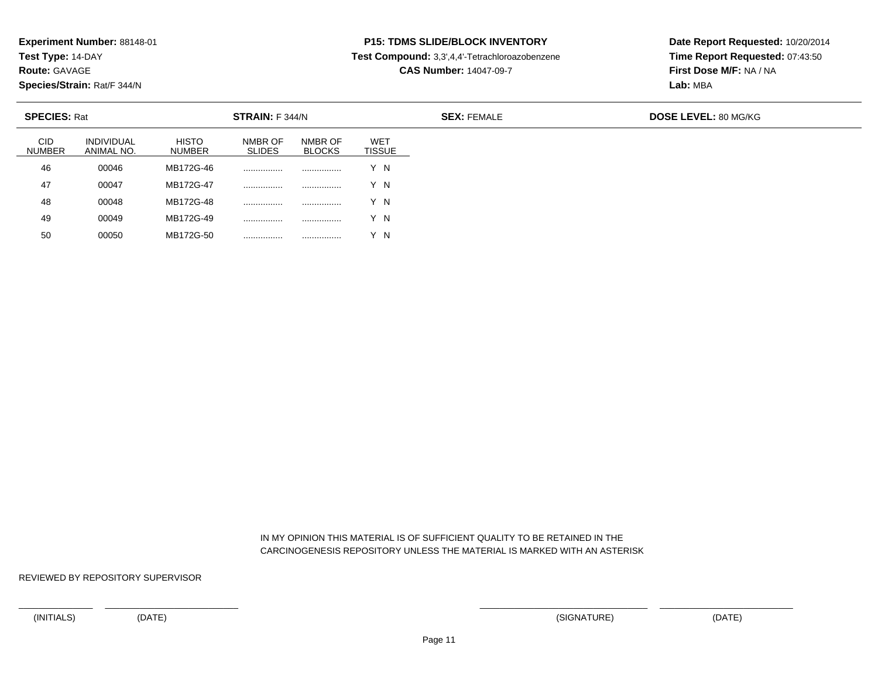**Test Type:** 14-DAY

**Route:** GAVAGE

**Species/Strain:** Rat/F 344/N

<sup>00050</sup> MB172G-50 ................ ................ Y N

# **P15: TDMS SLIDE/BLOCK INVENTORY**

**Test Compound:** 3,3',4,4'-Tetrachloroazobenzene

**CAS Number:** 14047-09-7

**Date Report Requested:** 10/20/2014**Time Report Requested:** 07:43:50**First Dose M/F:** NA / NA**Lab:** MBA

| <b>SPECIES: Rat</b><br><b>STRAIN: F 344/N</b> |                                 |                        |                          |                          |                             | <b>SEX: FEMALE</b> | DOSE LEVEL: 80 MG/KG |
|-----------------------------------------------|---------------------------------|------------------------|--------------------------|--------------------------|-----------------------------|--------------------|----------------------|
| CID<br><b>NUMBER</b>                          | <b>INDIVIDUAL</b><br>ANIMAL NO. | <b>HISTO</b><br>NUMBER | NMBR OF<br><b>SLIDES</b> | NMBR OF<br><b>BLOCKS</b> | <b>WET</b><br><b>TISSUE</b> |                    |                      |
| 46                                            | 00046                           | MB172G-46              |                          |                          | Y N                         |                    |                      |
| 47                                            | 00047                           | MB172G-47              | .                        | .                        | Y N                         |                    |                      |
| 48                                            | 00048                           | MB172G-48              | .                        |                          | Y N                         |                    |                      |
| 49                                            | 00049                           | MB172G-49              | .                        |                          | Y N                         |                    |                      |
| 50                                            | 00050                           | MB172G-50              | .                        | .                        | Y N                         |                    |                      |

 IN MY OPINION THIS MATERIAL IS OF SUFFICIENT QUALITY TO BE RETAINED IN THECARCINOGENESIS REPOSITORY UNLESS THE MATERIAL IS MARKED WITH AN ASTERISK

REVIEWED BY REPOSITORY SUPERVISOR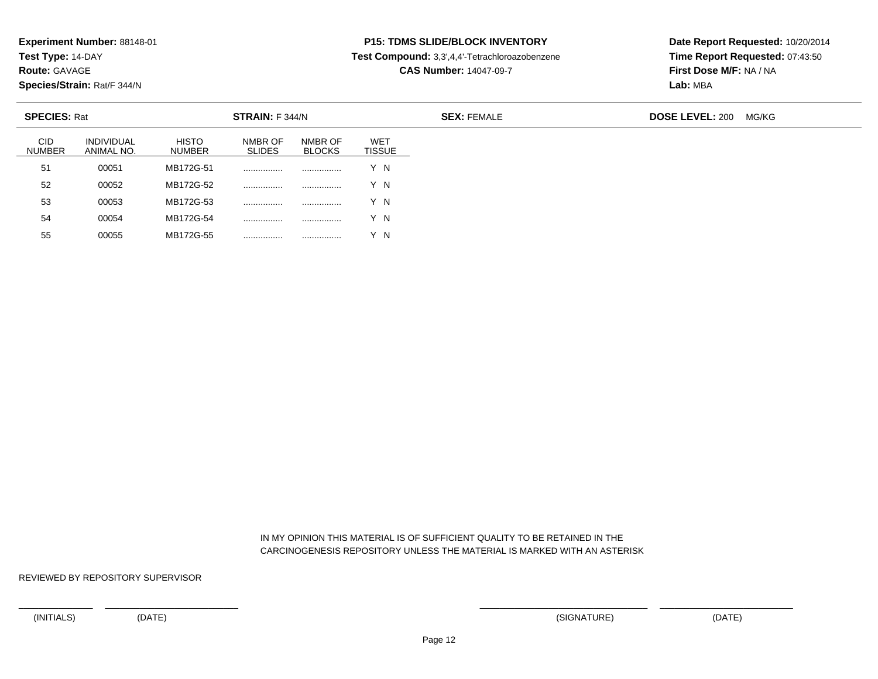**Test Type:** 14-DAY

**Route:** GAVAGE

55

**Species/Strain:** Rat/F 344/N

<sup>00055</sup> MB172G-55 ................ ................ Y N

# **P15: TDMS SLIDE/BLOCK INVENTORY**

**Test Compound:** 3,3',4,4'-Tetrachloroazobenzene

**CAS Number:** 14047-09-7

**Date Report Requested:** 10/20/2014**Time Report Requested:** 07:43:50**First Dose M/F:** NA / NA**Lab:** MBA

| <b>CID</b><br><b>HISTO</b><br>NMBR OF<br><b>WET</b><br><b>INDIVIDUAL</b><br>NMBR OF<br><b>NUMBER</b><br><b>SLIDES</b><br><b>TISSUE</b><br><b>BLOCKS</b><br>NUMBER<br>ANIMAL NO.<br>51<br>MB172G-51<br>00051<br>Y N<br><br><br>52<br>MB172G-52<br>00052<br>Y N<br><br><br>MB172G-53<br>53<br>Y N<br>00053<br><br><br>54<br>MB172G-54<br>Y N<br>00054<br><br> | <b>SPECIES: Rat</b><br>STRAIN: F 344/N |  |  |  |  | <b>SEX: FEMALE</b> | <b>DOSE LEVEL: 200</b> | MG/KG |
|-------------------------------------------------------------------------------------------------------------------------------------------------------------------------------------------------------------------------------------------------------------------------------------------------------------------------------------------------------------|----------------------------------------|--|--|--|--|--------------------|------------------------|-------|
|                                                                                                                                                                                                                                                                                                                                                             |                                        |  |  |  |  |                    |                        |       |
|                                                                                                                                                                                                                                                                                                                                                             |                                        |  |  |  |  |                    |                        |       |
|                                                                                                                                                                                                                                                                                                                                                             |                                        |  |  |  |  |                    |                        |       |
|                                                                                                                                                                                                                                                                                                                                                             |                                        |  |  |  |  |                    |                        |       |
|                                                                                                                                                                                                                                                                                                                                                             |                                        |  |  |  |  |                    |                        |       |

 IN MY OPINION THIS MATERIAL IS OF SUFFICIENT QUALITY TO BE RETAINED IN THECARCINOGENESIS REPOSITORY UNLESS THE MATERIAL IS MARKED WITH AN ASTERISK

REVIEWED BY REPOSITORY SUPERVISOR